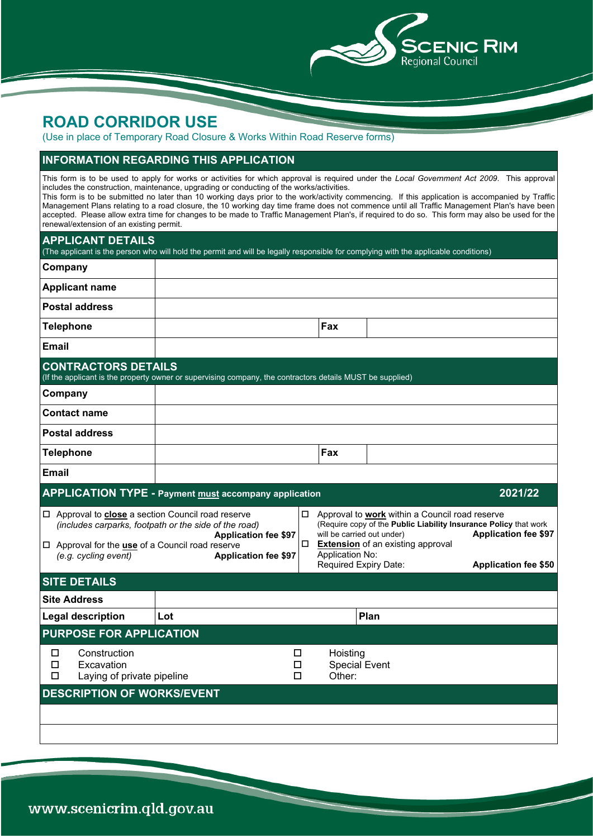

## **ROAD CORRIDOR USE**

(Use in place of Temporary Road Closure & Works Within Road Reserve forms)

## **INFORMATION REGARDING THIS APPLICATION**

This form is to be used to apply for works or activities for which approval is required under the *Local Government Act 2009*. This approval includes the construction, maintenance, upgrading or conducting of the works/activities. This form is to be submitted no later than 10 working days prior to the work/activity commencing. If this application is accompanied by Traffic

Management Plans relating to a road closure, the 10 working day time frame does not commence until all Traffic Management Plan's have been accepted. Please allow extra time for changes to be made to Traffic Management Plan's, if required to do so. This form may also be used for the renewal/extension of an existing permit.

| <b>APPLICANT DETAILS</b>                                                                                                                   | (The applicant is the person who will hold the permit and will be legally responsible for complying with the applicable conditions) |                                            |                                                                                                                                                                                                                       |                                                            |  |  |
|--------------------------------------------------------------------------------------------------------------------------------------------|-------------------------------------------------------------------------------------------------------------------------------------|--------------------------------------------|-----------------------------------------------------------------------------------------------------------------------------------------------------------------------------------------------------------------------|------------------------------------------------------------|--|--|
| Company                                                                                                                                    |                                                                                                                                     |                                            |                                                                                                                                                                                                                       |                                                            |  |  |
| <b>Applicant name</b>                                                                                                                      |                                                                                                                                     |                                            |                                                                                                                                                                                                                       |                                                            |  |  |
| <b>Postal address</b>                                                                                                                      |                                                                                                                                     |                                            |                                                                                                                                                                                                                       |                                                            |  |  |
| <b>Telephone</b>                                                                                                                           |                                                                                                                                     | Fax                                        |                                                                                                                                                                                                                       |                                                            |  |  |
| <b>Email</b>                                                                                                                               |                                                                                                                                     |                                            |                                                                                                                                                                                                                       |                                                            |  |  |
| <b>CONTRACTORS DETAILS</b>                                                                                                                 | (If the applicant is the property owner or supervising company, the contractors details MUST be supplied)                           |                                            |                                                                                                                                                                                                                       |                                                            |  |  |
| Company                                                                                                                                    |                                                                                                                                     |                                            |                                                                                                                                                                                                                       |                                                            |  |  |
| <b>Contact name</b>                                                                                                                        |                                                                                                                                     |                                            |                                                                                                                                                                                                                       |                                                            |  |  |
| <b>Postal address</b>                                                                                                                      |                                                                                                                                     |                                            |                                                                                                                                                                                                                       |                                                            |  |  |
| <b>Telephone</b>                                                                                                                           |                                                                                                                                     | Fax                                        |                                                                                                                                                                                                                       |                                                            |  |  |
| <b>Email</b>                                                                                                                               |                                                                                                                                     |                                            |                                                                                                                                                                                                                       |                                                            |  |  |
|                                                                                                                                            | <b>APPLICATION TYPE - Payment must accompany application</b>                                                                        |                                            |                                                                                                                                                                                                                       | 2021/22                                                    |  |  |
| □ Approval to close a section Council road reserve<br>$\Box$ Approval for the <b>use</b> of a Council road reserve<br>(e.g. cycling event) | (includes carparks, footpath or the side of the road)<br><b>Application fee \$97</b><br><b>Application fee \$97</b>                 | 0<br>$\Box$<br>Application No:             | Approval to work within a Council road reserve<br>(Require copy of the Public Liability Insurance Policy that work<br>will be carried out under)<br><b>Extension</b> of an existing approval<br>Required Expiry Date: | <b>Application fee \$97</b><br><b>Application fee \$50</b> |  |  |
| <b>SITE DETAILS</b>                                                                                                                        |                                                                                                                                     |                                            |                                                                                                                                                                                                                       |                                                            |  |  |
|                                                                                                                                            |                                                                                                                                     |                                            |                                                                                                                                                                                                                       |                                                            |  |  |
| <b>Site Address</b>                                                                                                                        |                                                                                                                                     |                                            |                                                                                                                                                                                                                       |                                                            |  |  |
| <b>Legal description</b>                                                                                                                   | Lot                                                                                                                                 |                                            | Plan                                                                                                                                                                                                                  |                                                            |  |  |
| <b>PURPOSE FOR APPLICATION</b>                                                                                                             |                                                                                                                                     |                                            |                                                                                                                                                                                                                       |                                                            |  |  |
| Construction<br>□<br>□<br>Excavation<br>□<br>Laying of private pipeline                                                                    | □<br>□<br>$\Box$                                                                                                                    | Hoisting<br><b>Special Event</b><br>Other: |                                                                                                                                                                                                                       |                                                            |  |  |
| <b>DESCRIPTION OF WORKS/EVENT</b>                                                                                                          |                                                                                                                                     |                                            |                                                                                                                                                                                                                       |                                                            |  |  |
|                                                                                                                                            |                                                                                                                                     |                                            |                                                                                                                                                                                                                       |                                                            |  |  |

www.scenicrim.qld.gov.au